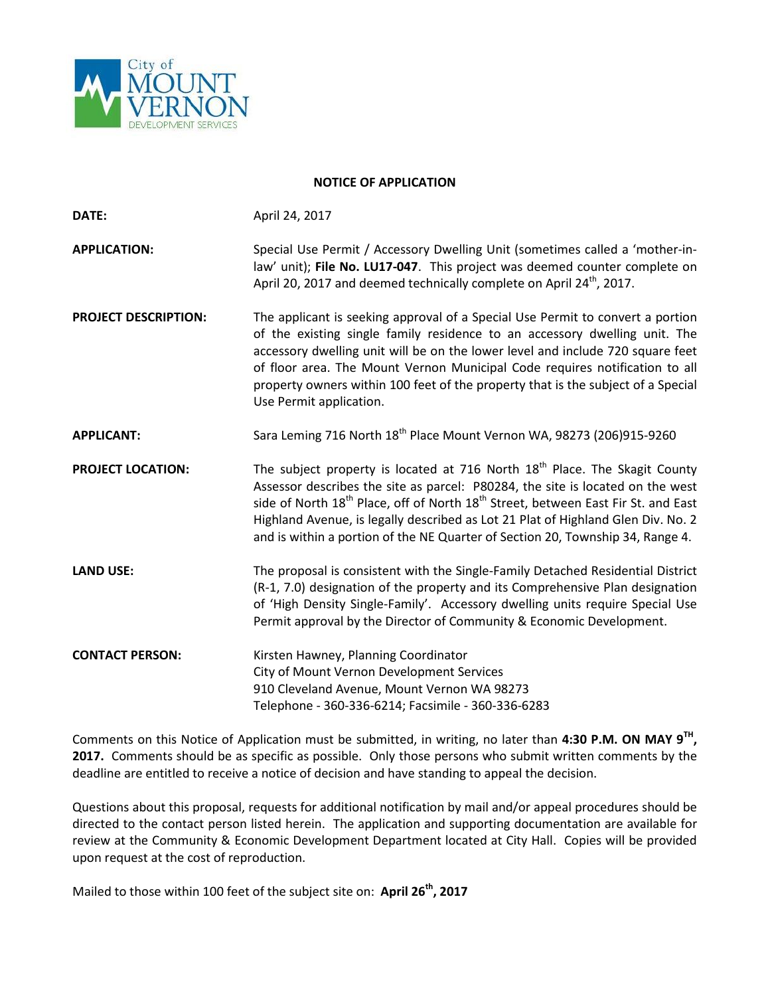

## **NOTICE OF APPLICATION**

| DATE:                       | April 24, 2017                                                                                                                                                                                                                                                                                                                                                                                                                                    |
|-----------------------------|---------------------------------------------------------------------------------------------------------------------------------------------------------------------------------------------------------------------------------------------------------------------------------------------------------------------------------------------------------------------------------------------------------------------------------------------------|
| <b>APPLICATION:</b>         | Special Use Permit / Accessory Dwelling Unit (sometimes called a 'mother-in-<br>law' unit); File No. LU17-047. This project was deemed counter complete on<br>April 20, 2017 and deemed technically complete on April 24 <sup>th</sup> , 2017.                                                                                                                                                                                                    |
| <b>PROJECT DESCRIPTION:</b> | The applicant is seeking approval of a Special Use Permit to convert a portion<br>of the existing single family residence to an accessory dwelling unit. The<br>accessory dwelling unit will be on the lower level and include 720 square feet<br>of floor area. The Mount Vernon Municipal Code requires notification to all<br>property owners within 100 feet of the property that is the subject of a Special<br>Use Permit application.      |
| <b>APPLICANT:</b>           | Sara Leming 716 North 18 <sup>th</sup> Place Mount Vernon WA, 98273 (206)915-9260                                                                                                                                                                                                                                                                                                                                                                 |
| <b>PROJECT LOCATION:</b>    | The subject property is located at 716 North $18th$ Place. The Skagit County<br>Assessor describes the site as parcel: P80284, the site is located on the west<br>side of North 18 <sup>th</sup> Place, off of North 18 <sup>th</sup> Street, between East Fir St. and East<br>Highland Avenue, is legally described as Lot 21 Plat of Highland Glen Div. No. 2<br>and is within a portion of the NE Quarter of Section 20, Township 34, Range 4. |
| <b>LAND USE:</b>            | The proposal is consistent with the Single-Family Detached Residential District<br>(R-1, 7.0) designation of the property and its Comprehensive Plan designation<br>of 'High Density Single-Family'. Accessory dwelling units require Special Use<br>Permit approval by the Director of Community & Economic Development.                                                                                                                         |
| <b>CONTACT PERSON:</b>      | Kirsten Hawney, Planning Coordinator<br>City of Mount Vernon Development Services<br>910 Cleveland Avenue, Mount Vernon WA 98273<br>Telephone - 360-336-6214; Facsimile - 360-336-6283                                                                                                                                                                                                                                                            |

Comments on this Notice of Application must be submitted, in writing, no later than **4:30 P.M. ON MAY 9TH, 2017.** Comments should be as specific as possible. Only those persons who submit written comments by the deadline are entitled to receive a notice of decision and have standing to appeal the decision.

Questions about this proposal, requests for additional notification by mail and/or appeal procedures should be directed to the contact person listed herein. The application and supporting documentation are available for review at the Community & Economic Development Department located at City Hall. Copies will be provided upon request at the cost of reproduction.

Mailed to those within 100 feet of the subject site on: **April 26th, 2017**